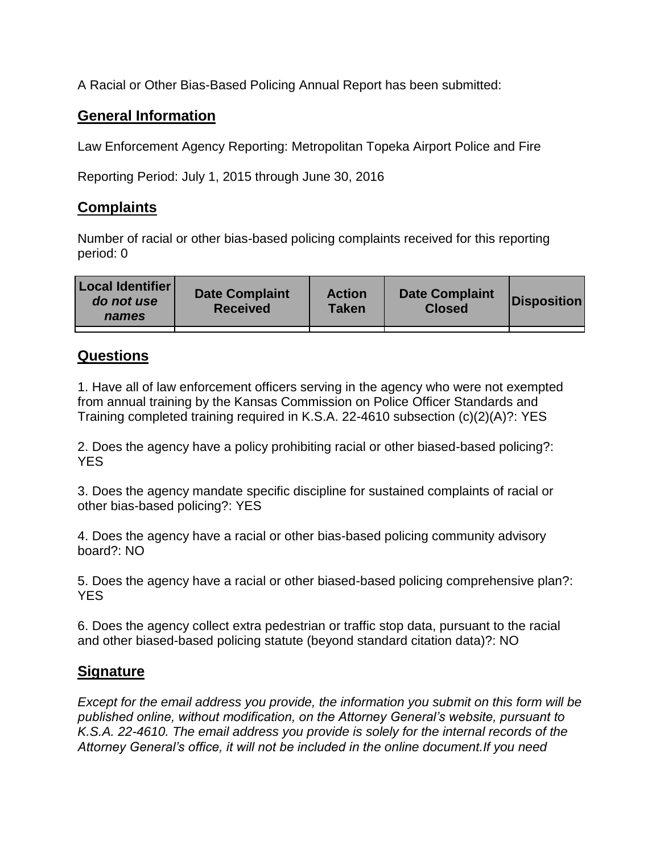A Racial or Other Bias-Based Policing Annual Report has been submitted:

## **General Information**

Law Enforcement Agency Reporting: Metropolitan Topeka Airport Police and Fire

Reporting Period: July 1, 2015 through June 30, 2016

## **Complaints**

Number of racial or other bias-based policing complaints received for this reporting period: 0

| <b>Local Identifier</b><br>do not use<br>names | <b>Date Complaint</b><br><b>Received</b> | <b>Action</b><br><b>Taken</b> | <b>Date Complaint</b><br><b>Closed</b> | Disposition |
|------------------------------------------------|------------------------------------------|-------------------------------|----------------------------------------|-------------|
|                                                |                                          |                               |                                        |             |

## **Questions**

1. Have all of law enforcement officers serving in the agency who were not exempted from annual training by the Kansas Commission on Police Officer Standards and Training completed training required in K.S.A. 22-4610 subsection (c)(2)(A)?: YES

2. Does the agency have a policy prohibiting racial or other biased-based policing?: YES

3. Does the agency mandate specific discipline for sustained complaints of racial or other bias-based policing?: YES

4. Does the agency have a racial or other bias-based policing community advisory board?: NO

5. Does the agency have a racial or other biased-based policing comprehensive plan?: YES

6. Does the agency collect extra pedestrian or traffic stop data, pursuant to the racial and other biased-based policing statute (beyond standard citation data)?: NO

## **Signature**

*Except for the email address you provide, the information you submit on this form will be published online, without modification, on the Attorney General's website, pursuant to K.S.A. 22-4610. The email address you provide is solely for the internal records of the Attorney General's office, it will not be included in the online document.If you need*